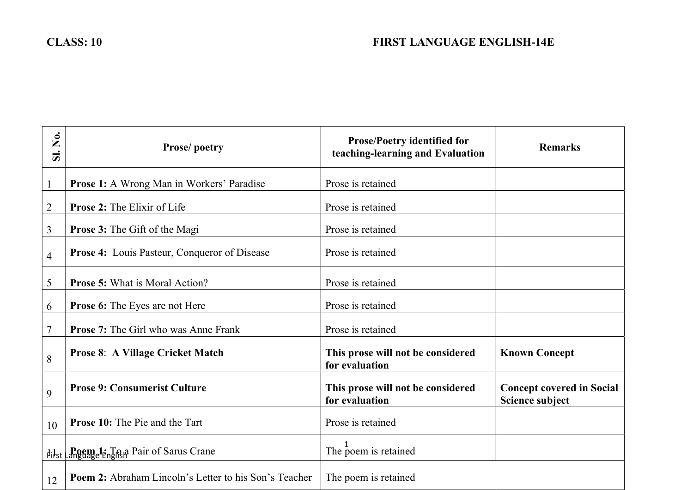| $\dot{\mathsf{z}}$<br>$\overline{\mathbf{S}}$ | Prose/poetry                                                  | <b>Prose/Poetry identified for</b><br>teaching-learning and Evaluation | <b>Remarks</b>                                      |
|-----------------------------------------------|---------------------------------------------------------------|------------------------------------------------------------------------|-----------------------------------------------------|
| $\mathbf{1}$                                  | Prose 1: A Wrong Man in Workers' Paradise                     | Prose is retained                                                      |                                                     |
| $\overline{2}$                                | <b>Prose 2: The Elixir of Life</b>                            | Prose is retained                                                      |                                                     |
| $\overline{3}$                                | <b>Prose 3:</b> The Gift of the Magi                          | Prose is retained                                                      |                                                     |
| 4                                             | <b>Prose 4:</b> Louis Pasteur, Conqueror of Disease           | Prose is retained                                                      |                                                     |
| 5                                             | <b>Prose 5: What is Moral Action?</b>                         | Prose is retained                                                      |                                                     |
| 6                                             | Prose 6: The Eyes are not Here                                | Prose is retained                                                      |                                                     |
| $\overline{7}$                                | <b>Prose 7:</b> The Girl who was Anne Frank                   | Prose is retained                                                      |                                                     |
| 8                                             | <b>Prose 8: A Village Cricket Match</b>                       | This prose will not be considered<br>for evaluation                    | <b>Known Concept</b>                                |
| 9                                             | <b>Prose 9: Consumerist Culture</b>                           | This prose will not be considered<br>for evaluation                    | <b>Concept covered in Social</b><br>Science subject |
| 10                                            | <b>Prose 10:</b> The Pie and the Tart                         | Prose is retained                                                      |                                                     |
|                                               | Filst <b>Pagemelt</b> ing R <sub>if</sub> Pair of Sarus Crane | The poem is retained                                                   |                                                     |
| 12                                            | Poem 2: Abraham Lincoln's Letter to his Son's Teacher         | The poem is retained                                                   |                                                     |